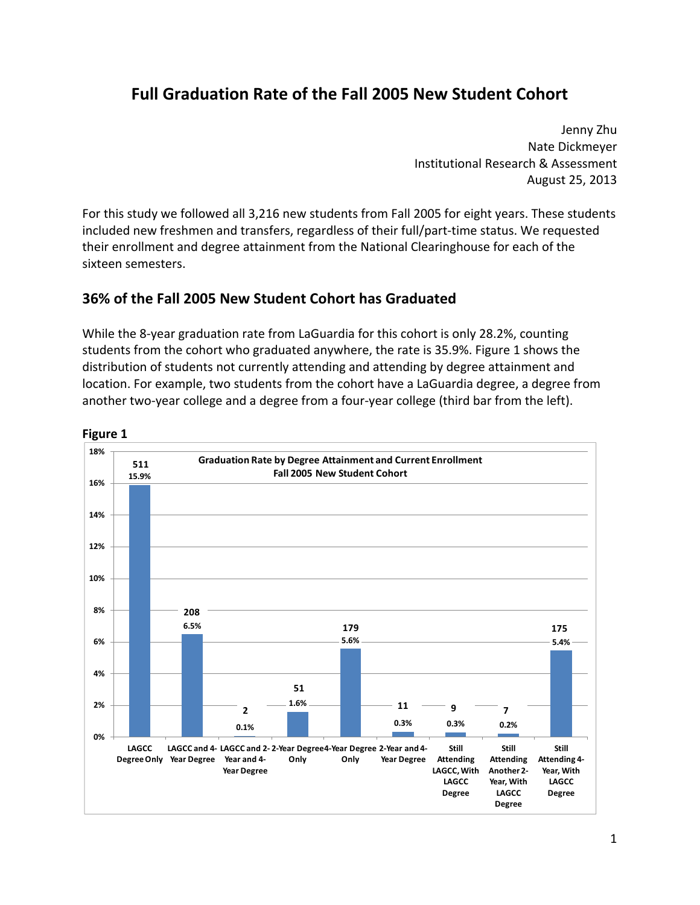# **Full Graduation Rate of the Fall 2005 New Student Cohort**

 Jenny Zhu Nate Dickmeyer Institutional Research & Assessment August 25, 2013

 For this study we followed all 3,216 new students from Fall 2005 for eight years. These students included new freshmen and transfers, regardless of their full/part‐time status. We requested their enrollment and degree attainment from the National Clearinghouse for each of the sixteen semesters.

#### **36% of the Fall 2005 New Student Cohort has Graduated**

 While the 8‐year graduation rate from LaGuardia for this cohort is only 28.2%, counting students from the cohort who graduated anywhere, the rate is 35.9%. Figure 1 shows the distribution of students not currently attending and attending by degree attainment and another two‐year college and a degree from a four‐year college (third bar from the left). location. For example, two students from the cohort have a LaGuardia degree, a degree from

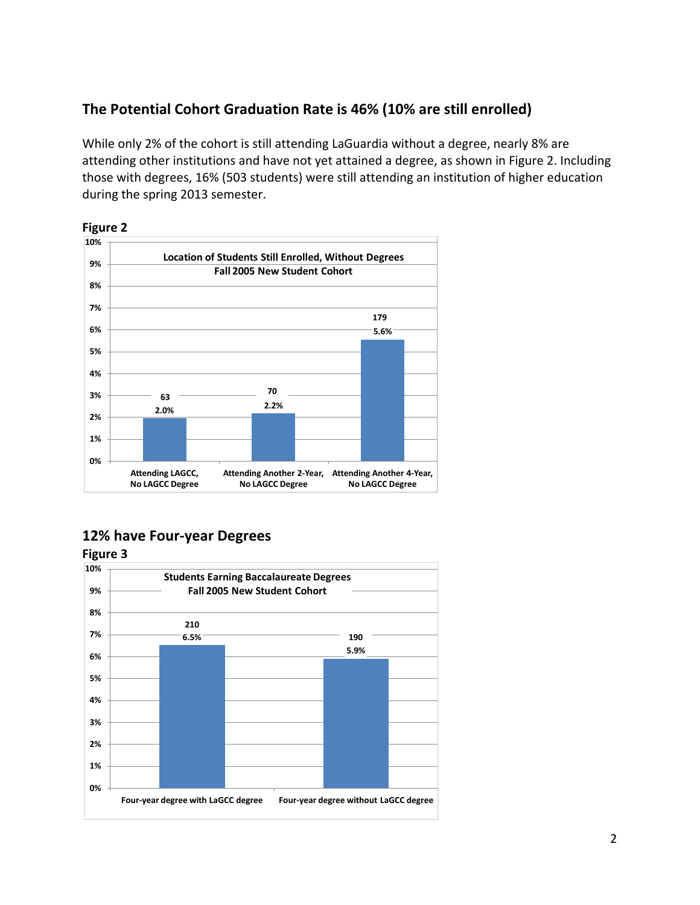## **The Potential Cohort Graduation Rate is 46% (10% are still enrolled)**

 While only 2% of the cohort is still attending LaGuardia without a degree, nearly 8% are attending other institutions and have not yet attained a degree, as shown in Figure 2. Including those with degrees, 16% (503 students) were still attending an institution of higher education during the spring 2013 semester.



### **12% have Four‐year Degrees**

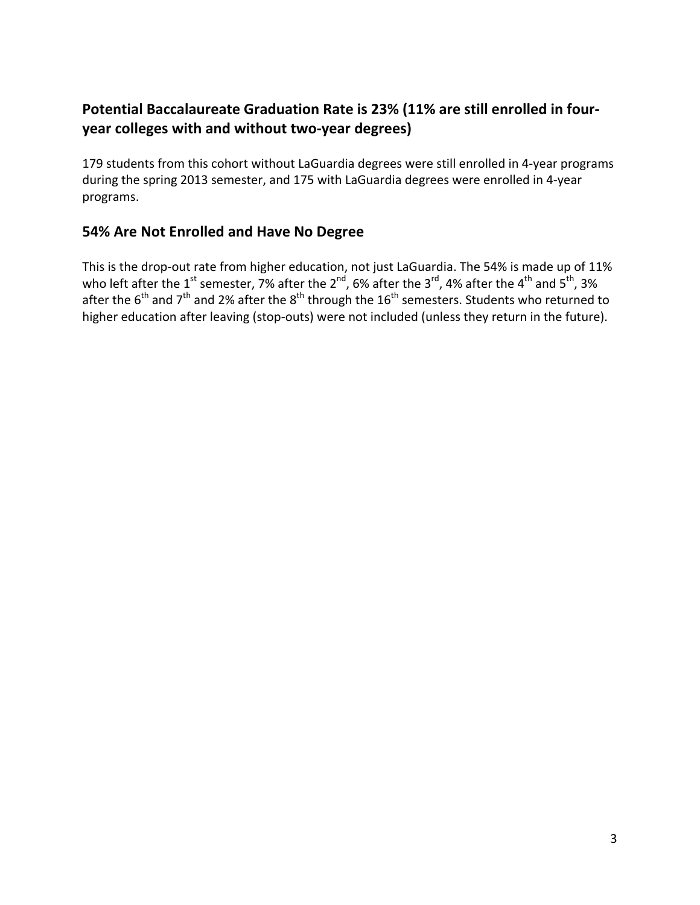# **Potential Baccalaureate Graduation Rate is 23% (11% are still enrolled in four‐ year colleges with and without two‐year degrees)**

 179 students from this cohort without LaGuardia degrees were still enrolled in 4‐year programs during the spring 2013 semester, and 175 with LaGuardia degrees were enrolled in 4‐year programs.

# **54% Are Not Enrolled and Have No Degree**

 This is the drop‐out rate from higher education, not just LaGuardia. The 54% is made up of 11% who left after the 1<sup>st</sup> semester, 7% after the 2<sup>nd</sup>, 6% after the 3<sup>rd</sup>, 4% after the 4<sup>th</sup> and 5<sup>th</sup>, 3% after the 6<sup>th</sup> and 7<sup>th</sup> and 2% after the 8<sup>th</sup> through the 16<sup>th</sup> semesters. Students who returned to higher education after leaving (stop‐outs) were not included (unless they return in the future).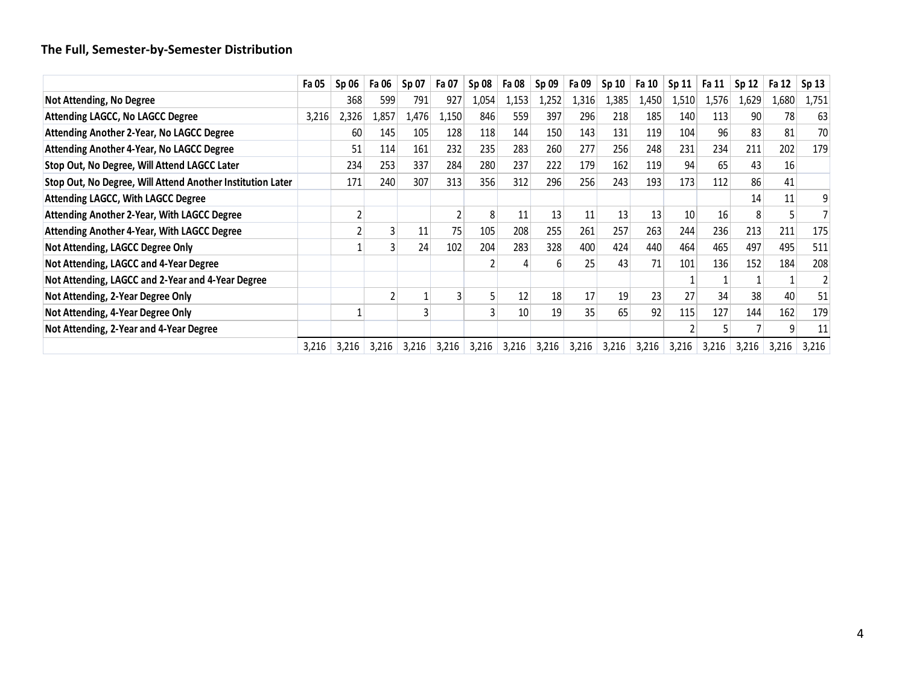#### **The Full, Semester‐by‐Semester Distribution**

|                                                            | Fa 05 | $Sp$ 06 | Fa 06 | Sp 07 | Fa 07 | <b>Sp 08</b> | Fa 08 | Sp <sub>09</sub> | Fa 09 | Sp <sub>10</sub> | Fa 10           | Sp 11 | Fa 11 | Sp 12           | Fa 12 | Sp 13 |
|------------------------------------------------------------|-------|---------|-------|-------|-------|--------------|-------|------------------|-------|------------------|-----------------|-------|-------|-----------------|-------|-------|
| Not Attending, No Degree                                   |       | 368     | 599   | 791   | 927   | 1,054        | 1,153 | 1,252            | 1,316 | 1,385            | 1,450           | 1,510 | 1,576 | 1,629           | 1,680 | 1,751 |
| <b>Attending LAGCC, No LAGCC Degree</b>                    | 3,216 | 2,326   | 1,857 | 1,476 | 1,150 | 846          | 559   | 397              | 296   | 218              | 185             | 140   | 113   | 90 <sup>°</sup> | 78    | 63    |
| Attending Another 2-Year, No LAGCC Degree                  |       | 60      | 145   | 105   | 128   | 118          | 144   | 150              | 143   | 131              | 119             | 104   | 96    | 83              | 81    | 70    |
| Attending Another 4-Year, No LAGCC Degree                  |       | 51      | 114   | 161   | 232   | 235          | 283   | 260              | 277   | 256              | 248             | 231   | 234   | 211             | 202   | 179   |
| Stop Out, No Degree, Will Attend LAGCC Later               |       | 234     | 253   | 337   | 284   | 280          | 237   | 222              | 179   | 162              | 119             | 94    | 65    | 43              | 16    |       |
| Stop Out, No Degree, Will Attend Another Institution Later |       | 171     | 240   | 307   | 313   | 356          | 312   | 296              | 256   | 243              | 193             | 173   | 112   | 86              | 41    |       |
| <b>Attending LAGCC, With LAGCC Degree</b>                  |       |         |       |       |       |              |       |                  |       |                  |                 |       |       | 14              | 11    | 9     |
| <b>Attending Another 2-Year, With LAGCC Degree</b>         |       |         |       |       |       | 8            | 11    | 13               | 11    | 13               | 13              | 10    | 16    | 8               |       |       |
| <b>Attending Another 4-Year, With LAGCC Degree</b>         |       |         |       | 11    | 75    | 105          | 208   | 255              | 261   | 257              | 263             | 244   | 236   | 213             | 211   | 175   |
| Not Attending, LAGCC Degree Only                           |       |         |       | 24    | 102   | 204          | 283   | 328              | 400   | 424              | 440             | 464   | 465   | 497             | 495   | 511   |
| Not Attending, LAGCC and 4-Year Degree                     |       |         |       |       |       |              |       | 6                | 25    | 43               | 71              | 101   | 136   | 152             | 184   | 208   |
| Not Attending, LAGCC and 2-Year and 4-Year Degree          |       |         |       |       |       |              |       |                  |       |                  |                 |       |       |                 |       |       |
| Not Attending, 2-Year Degree Only                          |       |         |       |       | 3     |              | 12    | 18               | 17    | 19               | 23              | 27    | 34    | 38              | 40    | 51    |
| Not Attending, 4-Year Degree Only                          |       |         |       |       |       |              | 10    | 19               | 35    | 65               | 92 <sub>1</sub> | 115   | 127   | 144             | 162   | 179   |
| Not Attending, 2-Year and 4-Year Degree                    |       |         |       |       |       |              |       |                  |       |                  |                 |       |       |                 | 9     | 11    |
|                                                            | 3,216 | 3,216   | 3,216 | 3,216 | 3,216 | 3,216        | 3,216 | 3,216            | 3,216 | 3,216            | 3,216           | 3,216 | 3,216 | 3,216           | 3,216 | 3,216 |